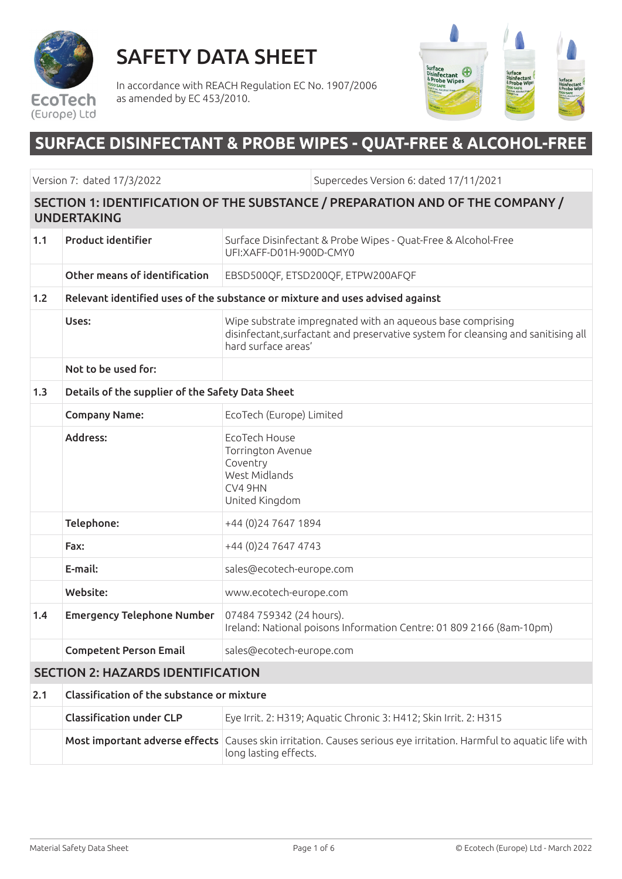

SAFETY DATA SHEET

In accordance with REACH Regulation EC No. 1907/2006 as amended by EC 453/2010.



# **SURFACE DISINFECTANT & PROBE WIPES - QUAT-FREE & ALCOHOL-FREE**

Version 7: dated 17/3/2022 Supercedes Version 6: dated 17/11/2021

#### SECTION 1: IDENTIFICATION OF THE SUBSTANCE / PREPARATION AND OF THE COMPANY / UNDERTAKING

| 1.1 | <b>Product identifier</b>                        | Surface Disinfectant & Probe Wipes - Quat-Free & Alcohol-Free<br>UFI:XAFF-D01H-900D-CMY0                                                                               |  |  |
|-----|--------------------------------------------------|------------------------------------------------------------------------------------------------------------------------------------------------------------------------|--|--|
|     | Other means of identification                    | EBSD500QF, ETSD200QF, ETPW200AFQF                                                                                                                                      |  |  |
| 1.2 |                                                  | Relevant identified uses of the substance or mixture and uses advised against                                                                                          |  |  |
|     | Uses:                                            | Wipe substrate impregnated with an aqueous base comprising<br>disinfectant, surfactant and preservative system for cleansing and sanitising all<br>hard surface areas' |  |  |
|     | Not to be used for:                              |                                                                                                                                                                        |  |  |
| 1.3 | Details of the supplier of the Safety Data Sheet |                                                                                                                                                                        |  |  |
|     | <b>Company Name:</b>                             | EcoTech (Europe) Limited                                                                                                                                               |  |  |
|     | Address:                                         | EcoTech House<br>Torrington Avenue<br>Coventry<br>West Midlands<br>CV4 9HN<br>United Kingdom                                                                           |  |  |
|     | Telephone:                                       | +44 (0) 24 7647 1894                                                                                                                                                   |  |  |
|     | Fax:                                             | +44 (0) 24 7647 4743                                                                                                                                                   |  |  |
|     | E-mail:                                          | sales@ecotech-europe.com                                                                                                                                               |  |  |
|     | Website:                                         | www.ecotech-europe.com                                                                                                                                                 |  |  |
| 1.4 | <b>Emergency Telephone Number</b>                | 07484 759342 (24 hours).<br>Ireland: National poisons Information Centre: 01 809 2166 (8am-10pm)                                                                       |  |  |
|     | <b>Competent Person Email</b>                    | sales@ecotech-europe.com                                                                                                                                               |  |  |
|     | <b>SECTION 2: HAZARDS IDENTIFICATION</b>         |                                                                                                                                                                        |  |  |
| 2.1 | Classification of the substance or mixture       |                                                                                                                                                                        |  |  |
|     | <b>Classification under CLP</b>                  | Eye Irrit. 2: H319; Aquatic Chronic 3: H412; Skin Irrit. 2: H315                                                                                                       |  |  |
|     |                                                  | Most important adverse effects Causes skin irritation. Causes serious eye irritation. Harmful to aquatic life with<br>long lasting effects.                            |  |  |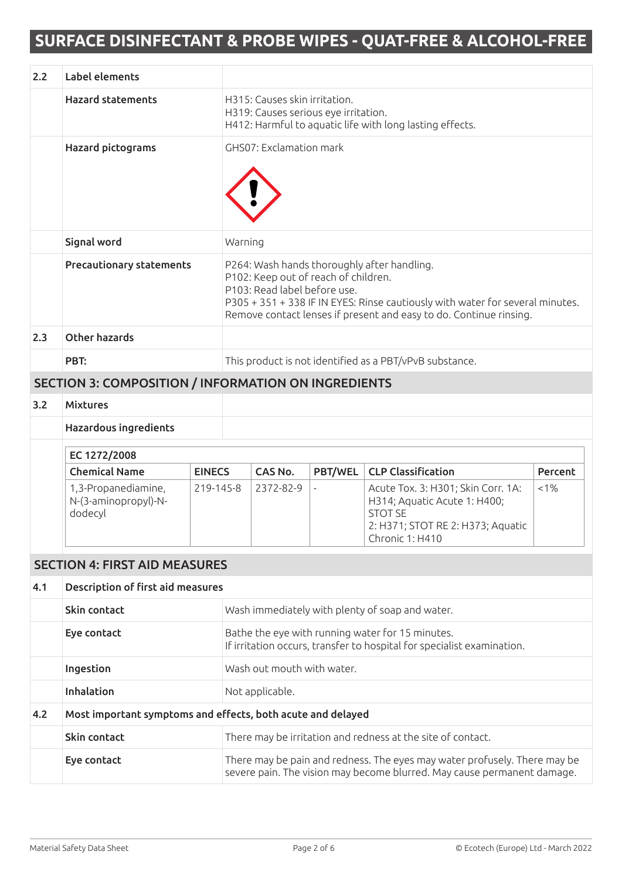| 2.2 | Label elements                                              |               |                                                                                                                                                                                                                                                                            |                                                                       |                |                                                                                                                                                      |         |  |
|-----|-------------------------------------------------------------|---------------|----------------------------------------------------------------------------------------------------------------------------------------------------------------------------------------------------------------------------------------------------------------------------|-----------------------------------------------------------------------|----------------|------------------------------------------------------------------------------------------------------------------------------------------------------|---------|--|
|     | <b>Hazard statements</b>                                    |               |                                                                                                                                                                                                                                                                            | H315: Causes skin irritation.<br>H319: Causes serious eye irritation. |                | H412: Harmful to aquatic life with long lasting effects.                                                                                             |         |  |
|     | <b>Hazard pictograms</b>                                    |               | GHS07: Exclamation mark                                                                                                                                                                                                                                                    |                                                                       |                |                                                                                                                                                      |         |  |
|     | Signal word                                                 |               | Warning                                                                                                                                                                                                                                                                    |                                                                       |                |                                                                                                                                                      |         |  |
|     | <b>Precautionary statements</b>                             |               | P264: Wash hands thoroughly after handling.<br>P102: Keep out of reach of children.<br>P103: Read label before use.<br>P305 + 351 + 338 IF IN EYES: Rinse cautiously with water for several minutes.<br>Remove contact lenses if present and easy to do. Continue rinsing. |                                                                       |                |                                                                                                                                                      |         |  |
| 2.3 | <b>Other hazards</b>                                        |               |                                                                                                                                                                                                                                                                            |                                                                       |                |                                                                                                                                                      |         |  |
|     | PBT:                                                        |               | This product is not identified as a PBT/vPvB substance.                                                                                                                                                                                                                    |                                                                       |                |                                                                                                                                                      |         |  |
|     | <b>SECTION 3: COMPOSITION / INFORMATION ON INGREDIENTS</b>  |               |                                                                                                                                                                                                                                                                            |                                                                       |                |                                                                                                                                                      |         |  |
| 3.2 | <b>Mixtures</b>                                             |               |                                                                                                                                                                                                                                                                            |                                                                       |                |                                                                                                                                                      |         |  |
|     | <b>Hazardous ingredients</b>                                |               |                                                                                                                                                                                                                                                                            |                                                                       |                |                                                                                                                                                      |         |  |
|     | EC 1272/2008                                                |               |                                                                                                                                                                                                                                                                            |                                                                       |                |                                                                                                                                                      |         |  |
|     | <b>Chemical Name</b>                                        | <b>EINECS</b> |                                                                                                                                                                                                                                                                            | CAS No.                                                               | <b>PBT/WEL</b> | <b>CLP Classification</b>                                                                                                                            | Percent |  |
|     | 1,3-Propanediamine,<br>N-(3-aminopropyl)-N-<br>dodecyl      | 219-145-8     |                                                                                                                                                                                                                                                                            | 2372-82-9                                                             |                | Acute Tox. 3: H301; Skin Corr. 1A:<br>H314; Aquatic Acute 1: H400;<br><b>STOT SE</b><br>2: H371; STOT RE 2: H373; Aquatic<br>Chronic 1: H410         | $< 1\%$ |  |
|     | <b>SECTION 4: FIRST AID MEASURES</b>                        |               |                                                                                                                                                                                                                                                                            |                                                                       |                |                                                                                                                                                      |         |  |
| 4.1 | Description of first aid measures                           |               |                                                                                                                                                                                                                                                                            |                                                                       |                |                                                                                                                                                      |         |  |
|     | Skin contact                                                |               | Wash immediately with plenty of soap and water.                                                                                                                                                                                                                            |                                                                       |                |                                                                                                                                                      |         |  |
|     | Eye contact                                                 |               | Bathe the eye with running water for 15 minutes.<br>If irritation occurs, transfer to hospital for specialist examination.                                                                                                                                                 |                                                                       |                |                                                                                                                                                      |         |  |
|     | Ingestion                                                   |               | Wash out mouth with water.                                                                                                                                                                                                                                                 |                                                                       |                |                                                                                                                                                      |         |  |
|     | Inhalation                                                  |               | Not applicable.                                                                                                                                                                                                                                                            |                                                                       |                |                                                                                                                                                      |         |  |
| 4.2 | Most important symptoms and effects, both acute and delayed |               |                                                                                                                                                                                                                                                                            |                                                                       |                |                                                                                                                                                      |         |  |
|     | Skin contact                                                |               |                                                                                                                                                                                                                                                                            |                                                                       |                | There may be irritation and redness at the site of contact.                                                                                          |         |  |
|     | Eye contact                                                 |               |                                                                                                                                                                                                                                                                            |                                                                       |                | There may be pain and redness. The eyes may water profusely. There may be<br>severe pain. The vision may become blurred. May cause permanent damage. |         |  |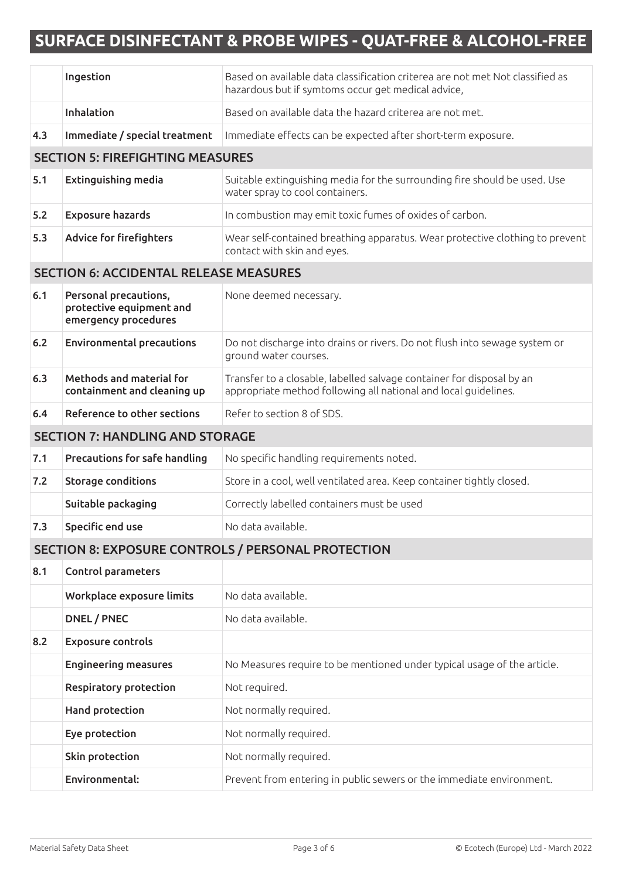|                                        | Ingestion                                                                 | Based on available data classification criterea are not met Not classified as<br>hazardous but if symtoms occur get medical advice,      |
|----------------------------------------|---------------------------------------------------------------------------|------------------------------------------------------------------------------------------------------------------------------------------|
|                                        | Inhalation                                                                | Based on available data the hazard criterea are not met.                                                                                 |
| 4.3                                    | Immediate / special treatment                                             | Immediate effects can be expected after short-term exposure.                                                                             |
|                                        | <b>SECTION 5: FIREFIGHTING MEASURES</b>                                   |                                                                                                                                          |
| 5.1                                    | <b>Extinguishing media</b>                                                | Suitable extinguishing media for the surrounding fire should be used. Use<br>water spray to cool containers.                             |
| 5.2                                    | <b>Exposure hazards</b>                                                   | In combustion may emit toxic fumes of oxides of carbon.                                                                                  |
| 5.3                                    | <b>Advice for firefighters</b>                                            | Wear self-contained breathing apparatus. Wear protective clothing to prevent<br>contact with skin and eyes.                              |
|                                        | <b>SECTION 6: ACCIDENTAL RELEASE MEASURES</b>                             |                                                                                                                                          |
| 6.1                                    | Personal precautions,<br>protective equipment and<br>emergency procedures | None deemed necessary.                                                                                                                   |
| $6.2$                                  | <b>Environmental precautions</b>                                          | Do not discharge into drains or rivers. Do not flush into sewage system or<br>ground water courses.                                      |
| 6.3                                    | Methods and material for<br>containment and cleaning up                   | Transfer to a closable, labelled salvage container for disposal by an<br>appropriate method following all national and local guidelines. |
| 6.4                                    | Reference to other sections                                               | Refer to section 8 of SDS.                                                                                                               |
| <b>SECTION 7: HANDLING AND STORAGE</b> |                                                                           |                                                                                                                                          |
| 7.1                                    | Precautions for safe handling                                             | No specific handling requirements noted.                                                                                                 |
| 7.2                                    | Storage conditions                                                        | Store in a cool, well ventilated area. Keep container tightly closed.                                                                    |
|                                        | Suitable packaging                                                        | Correctly labelled containers must be used                                                                                               |
| 7.3                                    | Specific end use                                                          | No data available.                                                                                                                       |
|                                        |                                                                           | SECTION 8: EXPOSURE CONTROLS / PERSONAL PROTECTION                                                                                       |
| 8.1                                    | Control parameters                                                        |                                                                                                                                          |
|                                        | Workplace exposure limits                                                 | No data available.                                                                                                                       |
|                                        | DNEL / PNEC                                                               | No data available.                                                                                                                       |
| 8.2                                    | <b>Exposure controls</b>                                                  |                                                                                                                                          |
|                                        | <b>Engineering measures</b>                                               | No Measures require to be mentioned under typical usage of the article.                                                                  |
|                                        | <b>Respiratory protection</b>                                             | Not required.                                                                                                                            |
|                                        | Hand protection                                                           | Not normally required.                                                                                                                   |
|                                        | Eye protection                                                            | Not normally required.                                                                                                                   |
|                                        | Skin protection                                                           | Not normally required.                                                                                                                   |
|                                        | Environmental:                                                            | Prevent from entering in public sewers or the immediate environment.                                                                     |
|                                        |                                                                           |                                                                                                                                          |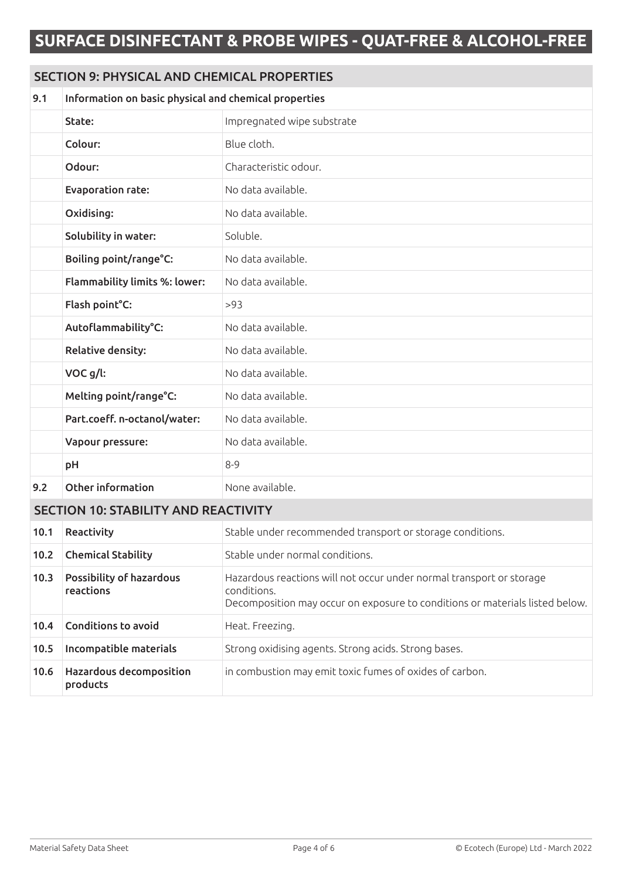### SECTION 9: PHYSICAL AND CHEMICAL PROPERTIES

| 9.1  | Information on basic physical and chemical properties |                                                                                                                                                                     |  |
|------|-------------------------------------------------------|---------------------------------------------------------------------------------------------------------------------------------------------------------------------|--|
|      | State:                                                | Impregnated wipe substrate                                                                                                                                          |  |
|      | Colour:                                               | Blue cloth.                                                                                                                                                         |  |
|      | Odour:                                                | Characteristic odour.                                                                                                                                               |  |
|      | <b>Evaporation rate:</b>                              | No data available.                                                                                                                                                  |  |
|      | Oxidising:                                            | No data available.                                                                                                                                                  |  |
|      | Solubility in water:                                  | Soluble.                                                                                                                                                            |  |
|      | Boiling point/range°C:                                | No data available.                                                                                                                                                  |  |
|      | <b>Flammability limits %: lower:</b>                  | No data available.                                                                                                                                                  |  |
|      | Flash point°C:                                        | >93                                                                                                                                                                 |  |
|      | Autoflammability°C:                                   | No data available.                                                                                                                                                  |  |
|      | <b>Relative density:</b>                              | No data available.                                                                                                                                                  |  |
|      | VOC g/l:                                              | No data available.                                                                                                                                                  |  |
|      | Melting point/range°C:                                | No data available.                                                                                                                                                  |  |
|      | Part.coeff. n-octanol/water:                          | No data available.                                                                                                                                                  |  |
|      | Vapour pressure:                                      | No data available.                                                                                                                                                  |  |
|      | pH                                                    | $8 - 9$                                                                                                                                                             |  |
| 9.2  | Other information                                     | None available.                                                                                                                                                     |  |
|      | <b>SECTION 10: STABILITY AND REACTIVITY</b>           |                                                                                                                                                                     |  |
| 10.1 | Reactivity                                            | Stable under recommended transport or storage conditions.                                                                                                           |  |
| 10.2 | <b>Chemical Stability</b>                             | Stable under normal conditions.                                                                                                                                     |  |
| 10.3 | <b>Possibility of hazardous</b><br>reactions          | Hazardous reactions will not occur under normal transport or storage<br>conditions.<br>Decomposition may occur on exposure to conditions or materials listed below. |  |
| 10.4 | <b>Conditions to avoid</b>                            | Heat. Freezing.                                                                                                                                                     |  |
| 10.5 | Incompatible materials                                | Strong oxidising agents. Strong acids. Strong bases.                                                                                                                |  |
| 10.6 | Hazardous decomposition<br>products                   | in combustion may emit toxic fumes of oxides of carbon.                                                                                                             |  |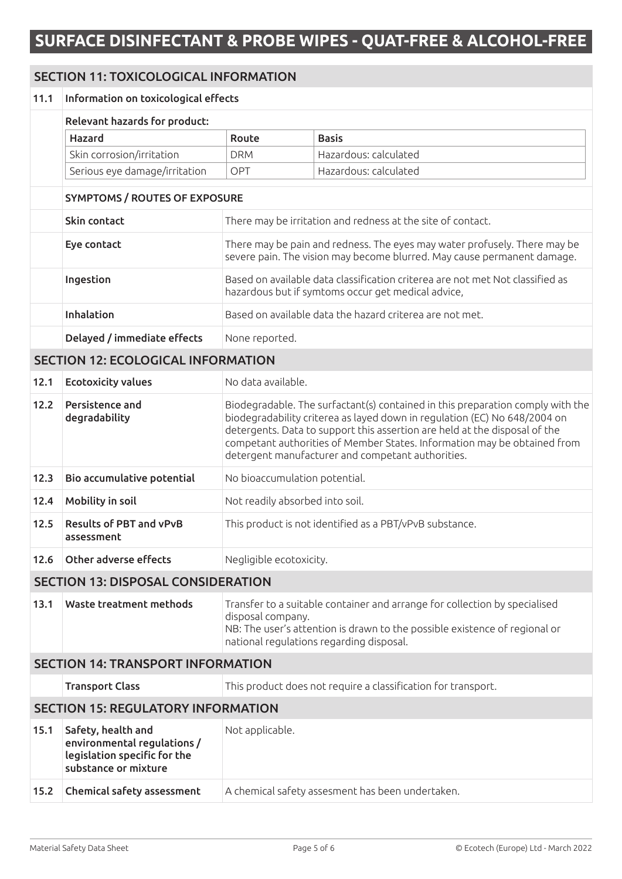### SECTION 11: TOXICOLOGICAL INFORMATION

### 11.1 Information on toxicological effects Relevant hazards for product: Hazard Route Basis Skin corrosion/irritation DRM Hazardous: calculated Serious eye damage/irritation | OPT | Hazardous: calculated

### SYMPTOMS / ROUTES OF EXPOSURE

| Skin contact                | There may be irritation and redness at the site of contact.                                                                                          |
|-----------------------------|------------------------------------------------------------------------------------------------------------------------------------------------------|
| Eye contact                 | There may be pain and redness. The eyes may water profusely. There may be<br>severe pain. The vision may become blurred. May cause permanent damage. |
| Ingestion                   | Based on available data classification criterea are not met Not classified as<br>hazardous but if symtoms occur get medical advice,                  |
| <b>Inhalation</b>           | Based on available data the hazard criterea are not met.                                                                                             |
| Delayed / immediate effects | None reported.                                                                                                                                       |

#### SECTION 12: ECOLOGICAL INFORMATION

| 12.1 | <b>Ecotoxicity values</b>                    | No data available.                                                                                                                                                                                                                                                                                                                                                         |
|------|----------------------------------------------|----------------------------------------------------------------------------------------------------------------------------------------------------------------------------------------------------------------------------------------------------------------------------------------------------------------------------------------------------------------------------|
| 12.2 | Persistence and<br>degradability             | Biodegradable. The surfactant(s) contained in this preparation comply with the<br>biodegradability criterea as layed down in regulation (EC) No 648/2004 on<br>detergents. Data to support this assertion are held at the disposal of the<br>competant authorities of Member States. Information may be obtained from<br>detergent manufacturer and competant authorities. |
| 12.3 | Bio accumulative potential                   | No bioaccumulation potential.                                                                                                                                                                                                                                                                                                                                              |
| 12.4 | Mobility in soil                             | Not readily absorbed into soil.                                                                                                                                                                                                                                                                                                                                            |
| 12.5 | <b>Results of PBT and vPvB</b><br>assessment | This product is not identified as a PBT/vPvB substance.                                                                                                                                                                                                                                                                                                                    |
| 12.6 | Other adverse effects                        | Negligible ecotoxicity.                                                                                                                                                                                                                                                                                                                                                    |

### SECTION 13: DISPOSAL CONSIDERATION

| 13.1 | <b>Waste treatment methods</b> | Transfer to a suitable container and arrange for collection by specialised<br>disposal company.<br>NB: The user's attention is drawn to the possible existence of regional or<br>national regulations regarding disposal. |
|------|--------------------------------|---------------------------------------------------------------------------------------------------------------------------------------------------------------------------------------------------------------------------|
|------|--------------------------------|---------------------------------------------------------------------------------------------------------------------------------------------------------------------------------------------------------------------------|

### SECTION 14: TRANSPORT INFORMATION

|      | <b>Transport Class</b>                                                                                    | This product does not require a classification for transport. |  |  |
|------|-----------------------------------------------------------------------------------------------------------|---------------------------------------------------------------|--|--|
|      | <b>SECTION 15: REGULATORY INFORMATION</b>                                                                 |                                                               |  |  |
| 15.1 | Safety, health and<br>environmental regulations /<br>legislation specific for the<br>substance or mixture | Not applicable.                                               |  |  |
| 15.2 | Chemical safety assessment                                                                                | A chemical safety assesment has been undertaken.              |  |  |